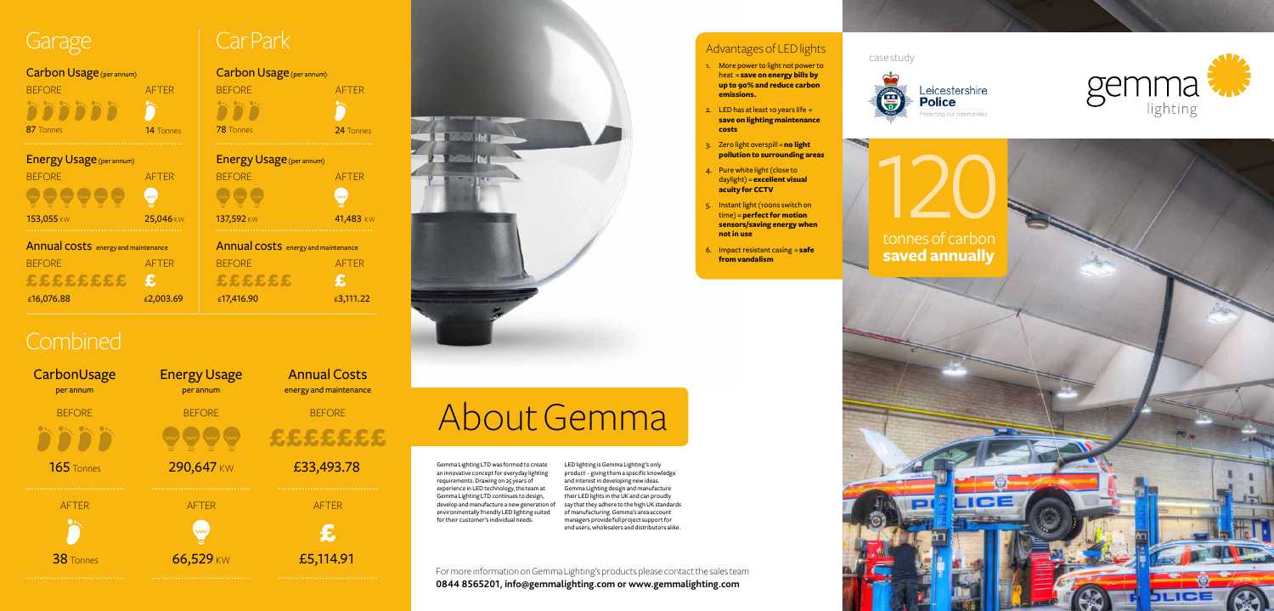Gemma Lighting LTD was formed to create an innovative concept for everyday lighting requirements. Drawing on 25 years of experience in LED technology, the team at Gemma Lighting LTD continues to design, develop and manufacture a new generation of environmentally friendly LED lighting suited for their customer's individual needs.

LED lighting is Gemma Lighting's only product – giving them a specific knowledge and interest in developing new ideas. Gemma Lighting design and manufacture their LED lights in the UK and can proudly say that they adhere to the high UK standards of manufacturing. Gemma's area account managers provide full project support for end users, wholesalers and distributors alike.

#### Advantages of LED lights

- 1. More power to light not power to heat = **save on energy bills by up to 90% and reduce carbon emissions.**
- 2. LED has at least 10 years life  $=$ **save on lighting maintenance costs**
- 3. Zero light overspill = **no light pollution to surrounding areas**
- 4. Pure white light (close to daylight) = **excellent visual acuity for CCTV**
- 5. Instant light (100ns switch on time) = **perfect for motion sensors/saving energy when not in use**
- 6. Impact resistant casing = **safe from vandalism**

**BEFORE** £££££££ 120 tonnes of carbon **saved annually**



For more information on Gemma Lighting's products please contact the sales team **0844 8565201, info@gemmalighting.com or www.gemmalighting.com**

# About Gemma

#### case study







Annual Costs energy and maintenance

£33,493.78

£5,114.91 £

AFTER

| <b>AFTFR</b>                               |
|--------------------------------------------|
|                                            |
| <b>14</b> Tonnes                           |
|                                            |
| <b>AFTFR</b>                               |
|                                            |
| 25,046 KW                                  |
| <b>Annual costs</b> energy and maintenance |
| <b>AFTFR</b>                               |
| £                                          |
|                                            |
|                                            |

## Garage | Car Park

#### Carbon Usage (per annum)





## **Combined**